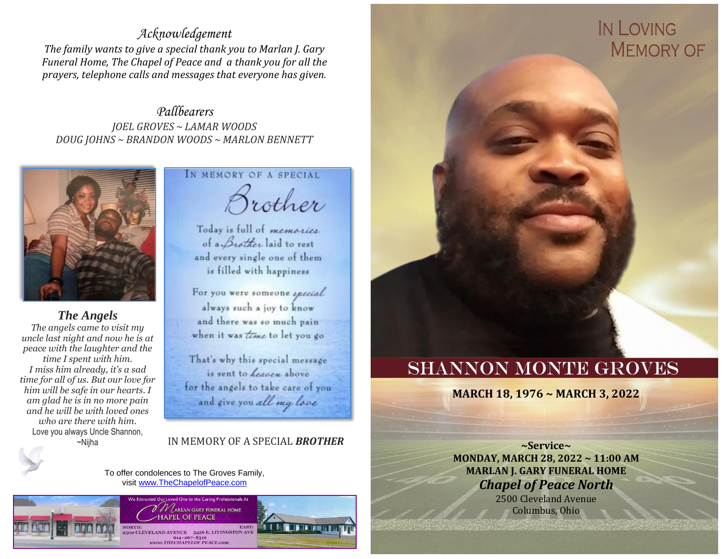#### *Acknowledgement*

*The family wants to give a special thank you to Marlan J. Gary Funeral Home, The Chapel of Peace and a thank you for all the prayers, telephone calls and messages that everyone has given.*

*Pallbearers JOEL GROVES ~ LAMAR WOODS DOUG JOHNS ~ BRANDON WOODS ~ MARLON BENNETT*



*The Angels The angels came to visit my uncle last night and now he is at peace with the laughter and the time I spent with him. I miss him already, it's a sad time for all of us. But our love for him will be safe in our hearts. I am glad he is in no more pain and he will be with loved ones who are there with him.*  Love you always Uncle Shannon,

#### IN MEMORY OF A SPECIAL

Brother

Today is full of memories of a *Brother* laid to rest and every single one of them is filled with happiness

For you were someone apecial always such a joy to know and there was so much pain when it was time to let you go

That's why this special message is sent to heaven above for the angels to take care of you and give you all my love

~Nijha IN MEMORY OF A SPECIAL *BROTHER*

To offer condolences to The Groves Family, visit [www.TheChapelofPeace.com](http://www.thechapelofpeace.com/)



# IN LOVING **MEMORY OF**

## **SHANNON MONTE GROVES**

**MARCH 18, 1976 ~ MARCH 3, 2022**

**~Service~ MONDAY, MARCH 28, 2022 ~ 11:00 AM MARLAN J. GARY FUNERAL HOME**  *Chapel of Peace North*

2500 Cleveland Avenue Columbus, Ohio